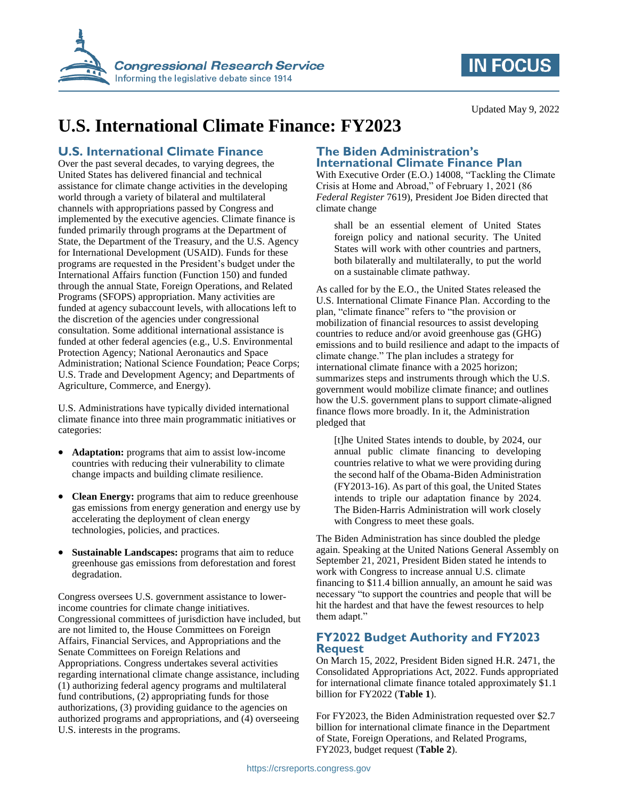

## **IN FOCUS**

Updated May 9, 2022

# **U.S. International Climate Finance: FY2023**

### **U.S. International Climate Finance**

Over the past several decades, to varying degrees, the United States has delivered financial and technical assistance for climate change activities in the developing world through a variety of bilateral and multilateral channels with appropriations passed by Congress and implemented by the executive agencies. Climate finance is funded primarily through programs at the Department of State, the Department of the Treasury, and the U.S. Agency for International Development (USAID). Funds for these programs are requested in the President's budget under the International Affairs function (Function 150) and funded through the annual State, Foreign Operations, and Related Programs (SFOPS) appropriation. Many activities are funded at agency subaccount levels, with allocations left to the discretion of the agencies under congressional consultation. Some additional international assistance is funded at other federal agencies (e.g., U.S. Environmental Protection Agency; National Aeronautics and Space Administration; National Science Foundation; Peace Corps; U.S. Trade and Development Agency; and Departments of Agriculture, Commerce, and Energy).

U.S. Administrations have typically divided international climate finance into three main programmatic initiatives or categories:

- **Adaptation:** programs that aim to assist low-income countries with reducing their vulnerability to climate change impacts and building climate resilience.
- **Clean Energy:** programs that aim to reduce greenhouse gas emissions from energy generation and energy use by accelerating the deployment of clean energy technologies, policies, and practices.
- **Sustainable Landscapes:** programs that aim to reduce greenhouse gas emissions from deforestation and forest degradation.

Congress oversees U.S. government assistance to lowerincome countries for climate change initiatives. Congressional committees of jurisdiction have included, but are not limited to, the House Committees on Foreign Affairs, Financial Services, and Appropriations and the Senate Committees on Foreign Relations and Appropriations. Congress undertakes several activities regarding international climate change assistance, including (1) authorizing federal agency programs and multilateral fund contributions, (2) appropriating funds for those authorizations, (3) providing guidance to the agencies on authorized programs and appropriations, and (4) overseeing U.S. interests in the programs.

#### **The Biden Administration's International Climate Finance Plan**

With Executive Order (E.O.) 14008, "Tackling the Climate Crisis at Home and Abroad," of February 1, 2021 (86 *Federal Register* 7619), President Joe Biden directed that climate change

shall be an essential element of United States foreign policy and national security. The United States will work with other countries and partners, both bilaterally and multilaterally, to put the world on a sustainable climate pathway.

As called for by the E.O., the United States released the U.S. International Climate Finance Plan. According to the plan, "climate finance" refers to "the provision or mobilization of financial resources to assist developing countries to reduce and/or avoid greenhouse gas (GHG) emissions and to build resilience and adapt to the impacts of climate change." The plan includes a strategy for international climate finance with a 2025 horizon; summarizes steps and instruments through which the U.S. government would mobilize climate finance; and outlines how the U.S. government plans to support climate-aligned finance flows more broadly. In it, the Administration pledged that

[t]he United States intends to double, by 2024, our annual public climate financing to developing countries relative to what we were providing during the second half of the Obama-Biden Administration (FY2013-16). As part of this goal, the United States intends to triple our adaptation finance by 2024. The Biden-Harris Administration will work closely with Congress to meet these goals.

The Biden Administration has since doubled the pledge again. Speaking at the United Nations General Assembly on September 21, 2021, President Biden stated he intends to work with Congress to increase annual U.S. climate financing to \$11.4 billion annually, an amount he said was necessary "to support the countries and people that will be hit the hardest and that have the fewest resources to help them adapt."

### **FY2022 Budget Authority and FY2023 Request**

On March 15, 2022, President Biden signed H.R. 2471, the Consolidated Appropriations Act, 2022. Funds appropriated for international climate finance totaled approximately \$1.1 billion for FY2022 (**[Table 1](#page-1-0)**).

For FY2023, the Biden Administration requested over \$2.7 billion for international climate finance in the Department of State, Foreign Operations, and Related Programs, FY2023, budget request (**[Table 2](#page-1-1)**).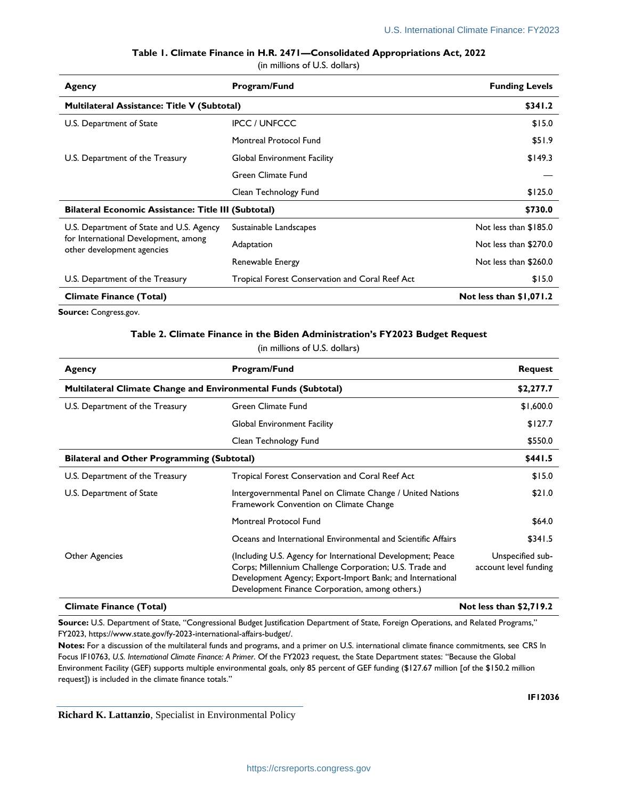**Table 1. Climate Finance in H.R. 2471—Consolidated Appropriations Act, 2022**

(in millions of U.S. dollars)

<span id="page-1-0"></span>

| Agency                                                                                                         | Program/Fund                                    | <b>Funding Levels</b>   |
|----------------------------------------------------------------------------------------------------------------|-------------------------------------------------|-------------------------|
| Multilateral Assistance: Title V (Subtotal)                                                                    |                                                 | \$341.2                 |
| U.S. Department of State                                                                                       | <b>IPCC / UNFCCC</b>                            | \$15.0                  |
|                                                                                                                | Montreal Protocol Fund                          | \$51.9                  |
| U.S. Department of the Treasury                                                                                | <b>Global Environment Facility</b>              | \$149.3                 |
|                                                                                                                | Green Climate Fund                              |                         |
|                                                                                                                | Clean Technology Fund                           | \$125.0                 |
| <b>Bilateral Economic Assistance: Title III (Subtotal)</b>                                                     |                                                 | \$730.0                 |
| U.S. Department of State and U.S. Agency<br>for International Development, among<br>other development agencies | Sustainable Landscapes                          | Not less than \$185.0   |
|                                                                                                                | Adaptation                                      | Not less than \$270.0   |
|                                                                                                                | Renewable Energy                                | Not less than \$260.0   |
| U.S. Department of the Treasury                                                                                | Tropical Forest Conservation and Coral Reef Act | \$15.0                  |
| <b>Climate Finance (Total)</b>                                                                                 |                                                 | Not less than \$1,071.2 |

<span id="page-1-1"></span>**Source:** Congress.gov.

#### **Table 2. Climate Finance in the Biden Administration's FY2023 Budget Request**

(in millions of U.S. dollars)

| Agency                                                         | Program/Fund                                                                                                                                                                                                                           | <b>Request</b>                            |
|----------------------------------------------------------------|----------------------------------------------------------------------------------------------------------------------------------------------------------------------------------------------------------------------------------------|-------------------------------------------|
| Multilateral Climate Change and Environmental Funds (Subtotal) |                                                                                                                                                                                                                                        | \$2,277.7                                 |
| U.S. Department of the Treasury                                | Green Climate Fund                                                                                                                                                                                                                     | \$1,600.0                                 |
|                                                                | <b>Global Environment Facility</b>                                                                                                                                                                                                     | \$127.7                                   |
|                                                                | Clean Technology Fund                                                                                                                                                                                                                  | \$550.0                                   |
| <b>Bilateral and Other Programming (Subtotal)</b>              |                                                                                                                                                                                                                                        | \$441.5                                   |
| U.S. Department of the Treasury                                | Tropical Forest Conservation and Coral Reef Act                                                                                                                                                                                        | \$15.0                                    |
| U.S. Department of State                                       | Intergovernmental Panel on Climate Change / United Nations<br>Framework Convention on Climate Change                                                                                                                                   | \$21.0                                    |
|                                                                | Montreal Protocol Fund                                                                                                                                                                                                                 | \$64.0                                    |
|                                                                | Oceans and International Environmental and Scientific Affairs                                                                                                                                                                          | \$341.5                                   |
| Other Agencies                                                 | (Including U.S. Agency for International Development; Peace<br>Corps; Millennium Challenge Corporation; U.S. Trade and<br>Development Agency; Export-Import Bank; and International<br>Development Finance Corporation, among others.) | Unspecified sub-<br>account level funding |
| <b>Climate Finance (Total)</b>                                 |                                                                                                                                                                                                                                        | Not less than \$2,719.2                   |

**Source:** U.S. Department of State, "Congressional Budget Justification Department of State, Foreign Operations, and Related Programs," FY2023, https://www.state.gov/fy-2023-international-affairs-budget/.

**Notes:** For a discussion of the multilateral funds and programs, and a primer on U.S. international climate finance commitments, see CRS In Focus IF10763, *U.S. International Climate Finance: A Primer*. Of the FY2023 request, the State Department states: "Because the Global Environment Facility (GEF) supports multiple environmental goals, only 85 percent of GEF funding (\$127.67 million [of the \$150.2 million request]) is included in the climate finance totals."

**Richard K. Lattanzio**, Specialist in Environmental Policy

**IF12036**